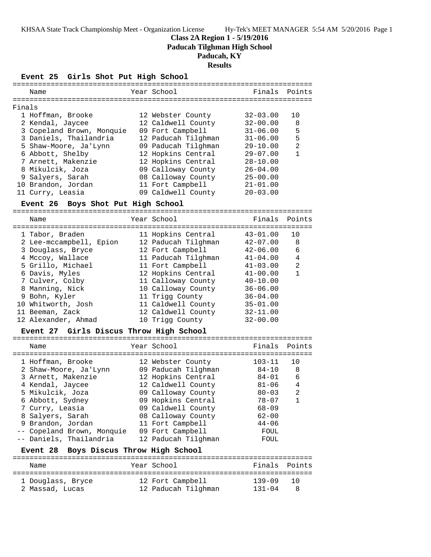**Class 2A Region 1 - 5/19/2016**

**Paducah Tilghman High School**

# **Paducah, KY**

**Results**

**Event 25 Girls Shot Put High School**

| Name                      | Year School         | Finals Points |                |
|---------------------------|---------------------|---------------|----------------|
| Finals                    |                     |               |                |
| 1 Hoffman, Brooke         | 12 Webster County   | $32 - 03.00$  | 10             |
| 2 Kendal, Jaycee          | 12 Caldwell County  | $32 - 00.00$  | 8              |
| 3 Copeland Brown, Monquie | 09 Fort Campbell    | $31 - 06.00$  | 5              |
| 3 Daniels, Thailandria    | 12 Paducah Tilghman | $31 - 06.00$  | 5              |
| 5 Shaw-Moore, Ja'Lynn     | 09 Paducah Tilghman | $29 - 10.00$  | $\mathfrak{D}$ |
| 6 Abbott, Shelby          | 12 Hopkins Central  | $29 - 07.00$  | 1              |
| 7 Arnett, Makenzie        | 12 Hopkins Central  | $28 - 10.00$  |                |
| 8 Mikulcik, Joza          | 09 Calloway County  | $26 - 04.00$  |                |
| 9 Salyers, Sarah          | 08 Calloway County  | $25 - 00.00$  |                |
| 10 Brandon, Jordan        | 11 Fort Campbell    | $21 - 01.00$  |                |
| 11 Curry, Leasia          | 09 Caldwell County  | $20 - 03.00$  |                |
|                           |                     |               |                |

### **Event 26 Boys Shot Put High School**

======================================================================= Name Year School Finals Points ======================================================================= 1 Tabor, Braden 11 Hopkins Central 43-01.00 10 2 Lee-mccampbell, Epion 12 Paducah Tilghman 42-07.00 8 3 Douglass, Bryce 12 Fort Campbell 42-06.00 6 4 Mccoy, Wallace 11 Paducah Tilghman 41-04.00 4 5 Grillo, Michael 11 Fort Campbell 41-03.00 2 6 Davis, Myles 12 Hopkins Central 41-00.00 1 7 Culver, Colby 11 Calloway County 40-10.00 8 Manning, Nick 10 Calloway County 36-06.00 9 Bohn, Kyler 11 Trigg County 36-04.00 10 Whitworth, Josh 11 Caldwell County 35-01.00 11 Beeman, Zack 12 Caldwell County 32-11.00 12 Alexander, Ahmad 10 Trigg County 32-00.00

## **Event 27 Girls Discus Throw High School**

|   | Name                                       | Year School                              | Finals              | Points  |
|---|--------------------------------------------|------------------------------------------|---------------------|---------|
|   | 1 Hoffman, Brooke<br>2 Shaw-Moore, Ja'Lynn | 12 Webster County<br>09 Paducah Tilghman | $103 - 11$<br>84-10 | 10<br>8 |
|   | 3 Arnett, Makenzie                         | 12 Hopkins Central                       | 84-01               | 6       |
|   | 4 Kendal, Jaycee<br>5 Mikulcik, Joza       | 12 Caldwell County<br>09 Calloway County | 81-06<br>$80 - 03$  | 4<br>2  |
|   | 6 Abbott, Sydney                           | 09 Hopkins Central                       | $78 - 07$           | 1       |
|   | 7 Curry, Leasia                            | 09 Caldwell County                       | 68-09               |         |
|   | 8 Salyers, Sarah                           | 08 Calloway County                       | $62 - 00$           |         |
| 9 | Brandon, Jordan                            | 11 Fort Campbell                         | $44 - 06$           |         |
|   | -- Copeland Brown, Monquie                 | 09 Fort Campbell                         | FOUL                |         |
|   | -- Daniels, Thailandria                    | 12 Paducah Tilghman                      | FOUL                |         |
|   | Event 28 Boys Discus Throw High School     |                                          |                     |         |
|   | Name                                       | Year School                              | Finals              | Points  |
|   | 1 Douglass, Bryce                          | 12 Fort Campbell                         | 139-09              | 10      |
|   | 2 Massad, Lucas                            | 12 Paducah Tilqhman                      | $131 - 04$          | 8       |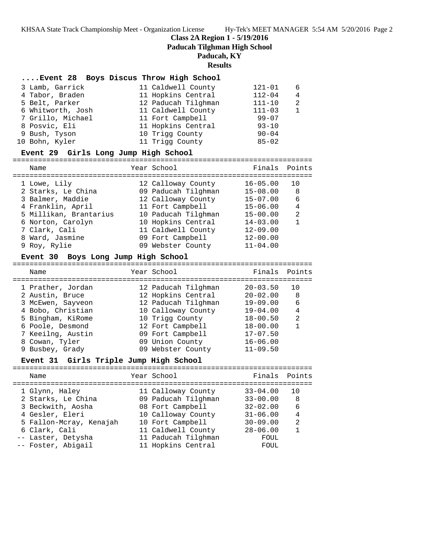**Class 2A Region 1 - 5/19/2016**

**Paducah Tilghman High School**

## **Paducah, KY**

#### **Results**

## **....Event 28 Boys Discus Throw High School**

| 3 Lamb, Garrick   | 11 Caldwell County  | $121 - 01$ | -6            |
|-------------------|---------------------|------------|---------------|
| 4 Tabor, Braden   | 11 Hopkins Central  | $112 - 04$ | 4             |
| 5 Belt, Parker    | 12 Paducah Tilghman | $111 - 10$ | $\mathcal{L}$ |
| 6 Whitworth, Josh | 11 Caldwell County  | $111 - 03$ | $\mathbf{1}$  |
| 7 Grillo, Michael | 11 Fort Campbell    | $99 - 07$  |               |
| 8 Posvic, Eli     | 11 Hopkins Central  | $93 - 10$  |               |
| 9 Bush, Tyson     | 10 Trigg County     | $90 - 04$  |               |
| 10 Bohn, Kyler    | 11 Trigg County     | $85 - 02$  |               |
|                   |                     |            |               |

### **Event 29 Girls Long Jump High School**

=======================================================================

| Name                   | Year School         | Finals Points |                |
|------------------------|---------------------|---------------|----------------|
|                        |                     |               |                |
| 1 Lowe, Lily           | 12 Calloway County  | $16 - 05.00$  | 10             |
| 2 Starks, Le China     | 09 Paducah Tilghman | $15 - 08.00$  | 8              |
| 3 Balmer, Maddie       | 12 Calloway County  | $15 - 07.00$  | 6              |
| 4 Franklin, April      | 11 Fort Campbell    | $15 - 06.00$  | 4              |
| 5 Millikan, Brantarius | 10 Paducah Tilghman | $15 - 00.00$  | $\mathfrak{D}$ |
| 6 Norton, Carolyn      | 10 Hopkins Central  | $14 - 03.00$  |                |
| 7 Clark, Cali          | 11 Caldwell County  | $12 - 09.00$  |                |
| 8 Ward, Jasmine        | 09 Fort Campbell    | $12 - 00.00$  |                |
| 9 Roy, Rylie           | 09 Webster County   | $11 - 04.00$  |                |

### **Event 30 Boys Long Jump High School**

======================================================================= Name The Year School Team Points Points ======================================================================= 1 Prather, Jordan 12 Paducah Tilghman 20-03.50 10 2 Austin, Bruce 12 Hopkins Central 20-02.00 8 3 McEwen, Sayveon 12 Paducah Tilghman 19-09.00 6 4 Bobo, Christian 10 Calloway County 19-04.00 4 5 Bingham, KiRome 10 Trigg County 18-00.50 2 6 Poole, Desmond 12 Fort Campbell 18-00.00 1 7 Keeilng, Austin 09 Fort Campbell 17-07.50 8 Cowan, Tyler 09 Union County 16-06.00 9 Busbey, Grady 09 Webster County 11-09.50

### **Event 31 Girls Triple Jump High School**

| Name                                       | Year School                               | Finals Points                |                     |
|--------------------------------------------|-------------------------------------------|------------------------------|---------------------|
| 1 Glynn, Haley                             | 11 Calloway County                        | $33 - 04.00$                 | 1 O                 |
| 2 Starks, Le China<br>3 Beckwith, Aosha    | 09 Paducah Tilghman<br>08 Fort Campbell   | $33 - 00.00$<br>$32 - 02.00$ | -8<br>6             |
| 4 Gesler, Eleri<br>5 Fallon-Mcray, Kenajah | 10 Calloway County<br>10 Fort Campbell    | $31 - 06.00$<br>$30 - 09.00$ | $\overline{4}$<br>2 |
| 6 Clark, Cali                              | 11 Caldwell County                        | $28 - 06.00$                 | $\mathbf{1}$        |
| -- Laster, Detysha<br>-- Foster, Abigail   | 11 Paducah Tilghman<br>11 Hopkins Central | FOUL<br>FOUL                 |                     |
|                                            |                                           |                              |                     |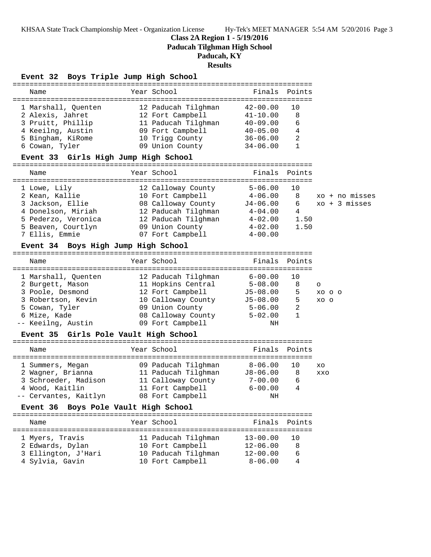**Class 2A Region 1 - 5/19/2016**

**Paducah Tilghman High School**

## **Paducah, KY**

**Results**

### **Event 32 Boys Triple Jump High School**

| Name                | Year School         |              | Finals Points |
|---------------------|---------------------|--------------|---------------|
| 1 Marshall, Quenten | 12 Paducah Tilghman | $42 - 00.00$ | 10            |
| 2 Alexis, Jahret    | 12 Fort Campbell    | $41 - 10.00$ | 8             |
| 3 Pruitt, Phillip   | 11 Paducah Tilghman | $40 - 09.00$ | 6             |
| 4 Keeilng, Austin   | 09 Fort Campbell    | $40 - 05.00$ | 4             |
| 5 Bingham, KiRome   | 10 Trigg County     | $36 - 06.00$ | 2             |
| 6 Cowan, Tyler      | 09 Union County     | $34 - 06.00$ | 1             |
|                     |                     |              |               |

### **Event 33 Girls High Jump High School**

======================================================================= Name Tear School Tear School Finals Points ======================================================================= 1 Lowe, Lily 12 Calloway County 5-06.00 10 2 Kean, Kallie 10 Fort Campbell 4-06.00 8 xo + no misses 3 Jackson, Ellie 08 Calloway County J4-06.00 6 xo + 3 misses 4 Donelson, Miriah 12 Paducah Tilghman 4-04.00 4 5 Pederzo, Veronica 12 Paducah Tilghman 4-02.00 1.50 5 Beaven, Courtlyn 09 Union County 4-02.00 1.50 7 Ellis, Emmie 07 Fort Campbell 4-00.00

### **Event 34 Boys High Jump High School**

======================================================================= Name Tear School Tear School Finals Points ======================================================================= 1 Marshall, Quenten 12 Paducah Tilghman 6-00.00 10 2 Burgett, Mason 11 Hopkins Central 5-08.00 8 o 3 Poole, Desmond 12 Fort Campbell J5-08.00 5 xo o o 3 Robertson, Kevin 10 Calloway County J5-08.00 5 xo o 5 Cowan, Tyler 09 Union County 5-06.00 2 6 Mize, Kade 08 Calloway County 5-02.00 1 -- Keeilng, Austin 09 Fort Campbell NH

### **Event 35 Girls Pole Vault High School**

| Name                  | Year School         | Finals Points |    |            |
|-----------------------|---------------------|---------------|----|------------|
|                       |                     |               |    |            |
| 1 Summers, Megan      | 09 Paducah Tilghman | $8 - 06.00$   |    | XO         |
| 2 Wagner, Brianna     | 11 Paducah Tilghman | $J8 - 06.00$  | -8 | <b>XXO</b> |
| 3 Schroeder, Madison  | 11 Calloway County  | $7 - 00.00$   | 6  |            |
| 4 Wood, Kaitlin       | 11 Fort Campbell    | $6 - 00.00$   | 4  |            |
| -- Cervantes, Kaitlyn | 08 Fort Campbell    | NΗ            |    |            |

## **Event 36 Boys Pole Vault High School**

======================================================================= Name The Year School The Finals Points ======================================================================= 1 Myers, Travis 11 Paducah Tilghman 13-00.00 10 2 Edwards, Dylan 10 Fort Campbell 12-06.00 8 3 Ellington, J'Hari 10 Paducah Tilghman 12-00.00 6 4 Sylvia, Gavin 10 Fort Campbell 8-06.00 4